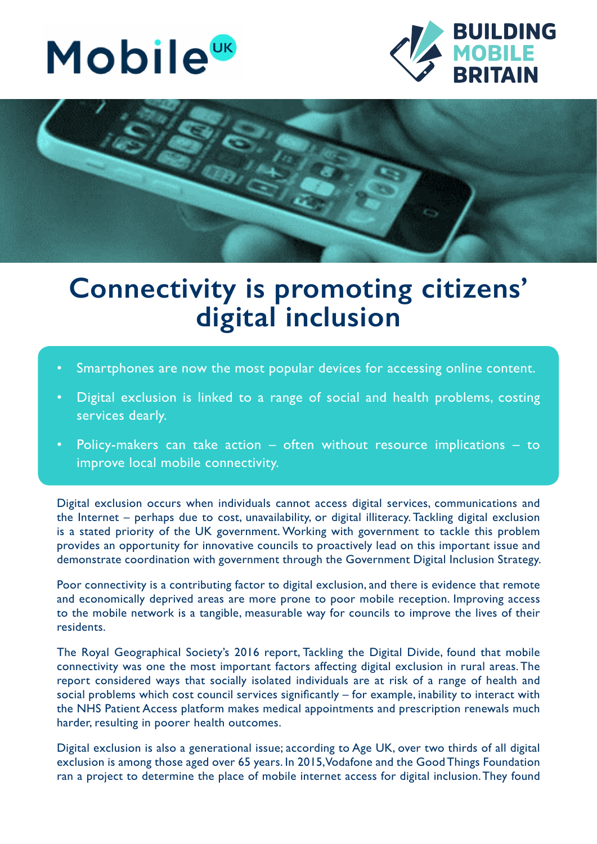





## **Connectivity is promoting citizens' digital inclusion**

- Smartphones are now the most popular devices for accessing online content.
- Digital exclusion is linked to a range of social and health problems, costing services dearly.
- Policy-makers can take action  $-$  often without resource implications  $-$  to improve local mobile connectivity.

Digital exclusion occurs when individuals cannot access digital services, communications and the Internet – perhaps due to cost, unavailability, or digital illiteracy. Tackling digital exclusion is a stated priority of the UK government. Working with government to tackle this problem provides an opportunity for innovative councils to proactively lead on this important issue and demonstrate coordination with government through the Government Digital Inclusion Strategy.

Poor connectivity is a contributing factor to digital exclusion, and there is evidence that remote and economically deprived areas are more prone to poor mobile reception. Improving access to the mobile network is a tangible, measurable way for councils to improve the lives of their residents.

The Royal Geographical Society's 2016 report, Tackling the Digital Divide, found that mobile connectivity was one the most important factors affecting digital exclusion in rural areas. The report considered ways that socially isolated individuals are at risk of a range of health and social problems which cost council services significantly – for example, inability to interact with the NHS Patient Access platform makes medical appointments and prescription renewals much harder, resulting in poorer health outcomes.

Digital exclusion is also a generational issue; according to Age UK, over two thirds of all digital exclusion is among those aged over 65 years. In 2015, Vodafone and the Good Things Foundation ran a project to determine the place of mobile internet access for digital inclusion. They found